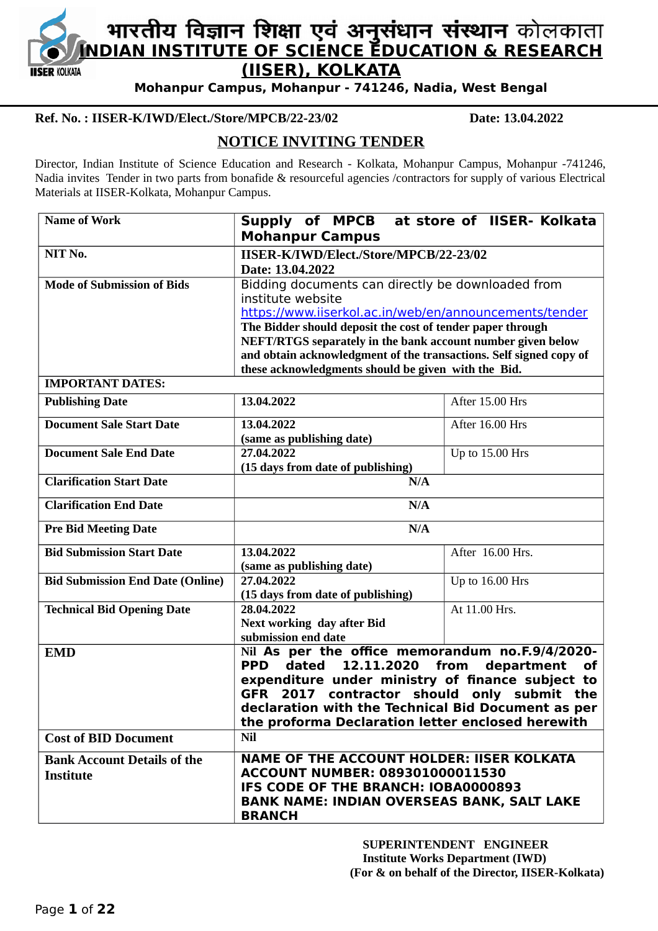

# **INDIAN INSTITUTE OF SCIENCE EDUCATION & RESEARCH (IISER), KOLKATA**

**Mohanpur Campus, Mohanpur - 741246, Nadia, West Bengal**

## **Ref. No. : IISER-K/IWD/Elect./Store/MPCB/22-23/02 Date: 13.04.2022**

# **NOTICE INVITING TENDER**

Director, Indian Institute of Science Education and Research - Kolkata, Mohanpur Campus, Mohanpur -741246, Nadia invites Tender in two parts from bonafide & resourceful agencies /contractors for supply of various Electrical Materials at IISER-Kolkata, Mohanpur Campus.

| <b>Name of Work</b>                                    | Supply of MPCB at store of IISER- Kolkata<br><b>Mohanpur Campus</b>                                                                                                                                                                                                                                                                                                                        |                  |  |  |  |
|--------------------------------------------------------|--------------------------------------------------------------------------------------------------------------------------------------------------------------------------------------------------------------------------------------------------------------------------------------------------------------------------------------------------------------------------------------------|------------------|--|--|--|
| NIT No.                                                | IISER-K/IWD/Elect./Store/MPCB/22-23/02<br>Date: 13.04.2022                                                                                                                                                                                                                                                                                                                                 |                  |  |  |  |
| <b>Mode of Submission of Bids</b>                      | Bidding documents can directly be downloaded from<br>institute website<br>https://www.iiserkol.ac.in/web/en/announcements/tender<br>The Bidder should deposit the cost of tender paper through<br>NEFT/RTGS separately in the bank account number given below<br>and obtain acknowledgment of the transactions. Self signed copy of<br>these acknowledgments should be given with the Bid. |                  |  |  |  |
| <b>IMPORTANT DATES:</b>                                |                                                                                                                                                                                                                                                                                                                                                                                            |                  |  |  |  |
| <b>Publishing Date</b>                                 | 13.04.2022                                                                                                                                                                                                                                                                                                                                                                                 | After 15.00 Hrs  |  |  |  |
| <b>Document Sale Start Date</b>                        | 13.04.2022<br>(same as publishing date)                                                                                                                                                                                                                                                                                                                                                    | After 16.00 Hrs  |  |  |  |
| <b>Document Sale End Date</b>                          | 27.04.2022<br>(15 days from date of publishing)                                                                                                                                                                                                                                                                                                                                            | Up to 15.00 Hrs  |  |  |  |
| <b>Clarification Start Date</b>                        | N/A                                                                                                                                                                                                                                                                                                                                                                                        |                  |  |  |  |
| <b>Clarification End Date</b>                          | N/A                                                                                                                                                                                                                                                                                                                                                                                        |                  |  |  |  |
| <b>Pre Bid Meeting Date</b>                            | N/A                                                                                                                                                                                                                                                                                                                                                                                        |                  |  |  |  |
| <b>Bid Submission Start Date</b>                       | 13.04.2022<br>(same as publishing date)                                                                                                                                                                                                                                                                                                                                                    | After 16.00 Hrs. |  |  |  |
| <b>Bid Submission End Date (Online)</b>                | 27.04.2022<br>(15 days from date of publishing)                                                                                                                                                                                                                                                                                                                                            | Up to 16.00 Hrs  |  |  |  |
| <b>Technical Bid Opening Date</b>                      | 28.04.2022<br><b>Next working day after Bid</b><br>submission end date                                                                                                                                                                                                                                                                                                                     | At 11.00 Hrs.    |  |  |  |
| <b>EMD</b>                                             | Nil As per the office memorandum no.F.9/4/2020-<br><b>PPD</b><br>12.11.2020<br>department<br>dated<br>from<br><b>of</b><br>expenditure under ministry of finance subject to<br>GFR 2017 contractor should only submit the<br>declaration with the Technical Bid Document as per<br>the proforma Declaration letter enclosed herewith                                                       |                  |  |  |  |
| <b>Cost of BID Document</b>                            | <b>Nil</b>                                                                                                                                                                                                                                                                                                                                                                                 |                  |  |  |  |
| <b>Bank Account Details of the</b><br><b>Institute</b> | <b>NAME OF THE ACCOUNT HOLDER: IISER KOLKATA</b><br><b>ACCOUNT NUMBER: 089301000011530</b><br>IFS CODE OF THE BRANCH: IOBA0000893<br><b>BANK NAME: INDIAN OVERSEAS BANK, SALT LAKE</b><br><b>BRANCH</b>                                                                                                                                                                                    |                  |  |  |  |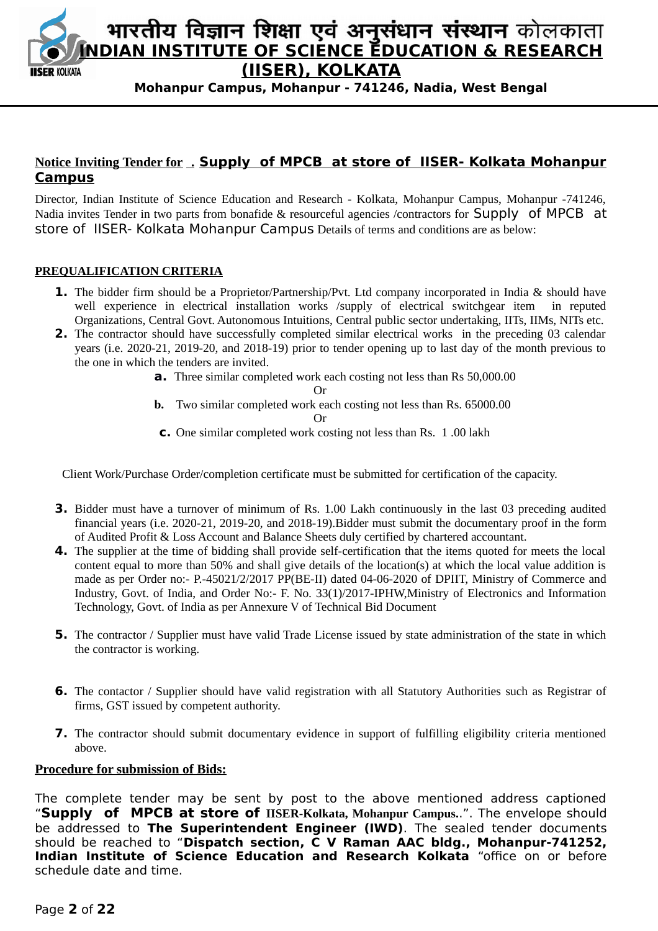

# **Notice Inviting Tender for . Supply of MPCB at store of IISER- Kolkata Mohanpur Campus**

Director, Indian Institute of Science Education and Research - Kolkata, Mohanpur Campus, Mohanpur -741246, Nadia invites Tender in two parts from bonafide & resourceful agencies /contractors for **Supply** of MPCB at store of IISER- Kolkata Mohanpur Campus Details of terms and conditions are as below:

#### **PREQUALIFICATION CRITERIA**

- **1.** The bidder firm should be a Proprietor/Partnership/Pvt. Ltd company incorporated in India & should have well experience in electrical installation works /supply of electrical switchgear item in reputed Organizations, Central Govt. Autonomous Intuitions, Central public sector undertaking, IITs, IIMs, NITs etc.
- **2.** The contractor should have successfully completed similar electrical works in the preceding 03 calendar years (i.e. 2020-21, 2019-20, and 2018-19) prior to tender opening up to last day of the month previous to the one in which the tenders are invited.
	- **a.** Three similar completed work each costing not less than Rs 50,000.00

Or

**b.** Two similar completed work each costing not less than Rs. 65000.00

Or

**c.** One similar completed work costing not less than Rs. 1 .00 lakh

Client Work/Purchase Order/completion certificate must be submitted for certification of the capacity.

- **3.** Bidder must have a turnover of minimum of Rs. 1.00 Lakh continuously in the last 03 preceding audited financial years (i.e. 2020-21, 2019-20, and 2018-19).Bidder must submit the documentary proof in the form of Audited Profit & Loss Account and Balance Sheets duly certified by chartered accountant.
- **4.** The supplier at the time of bidding shall provide self-certification that the items quoted for meets the local content equal to more than 50% and shall give details of the location(s) at which the local value addition is made as per Order no:- P.-45021/2/2017 PP(BE-II) dated 04-06-2020 of DPIIT, Ministry of Commerce and Industry, Govt. of India, and Order No:- F. No. 33(1)/2017-IPHW,Ministry of Electronics and Information Technology, Govt. of India as per Annexure V of Technical Bid Document
- **5.** The contractor / Supplier must have valid Trade License issued by state administration of the state in which the contractor is working.
- **6.** The contactor / Supplier should have valid registration with all Statutory Authorities such as Registrar of firms, GST issued by competent authority.
- **7.** The contractor should submit documentary evidence in support of fulfilling eligibility criteria mentioned above.

#### **Procedure for submission of Bids:**

The complete tender may be sent by post to the above mentioned address captioned "**Supply of MPCB at store of IISER-Kolkata, Mohanpur Campus.**.". The envelope should be addressed to **The Superintendent Engineer (IWD)**. The sealed tender documents should be reached to "**Dispatch section, C V Raman AAC bldg., Mohanpur-741252, Indian Institute of Science Education and Research Kolkata** "office on or before schedule date and time.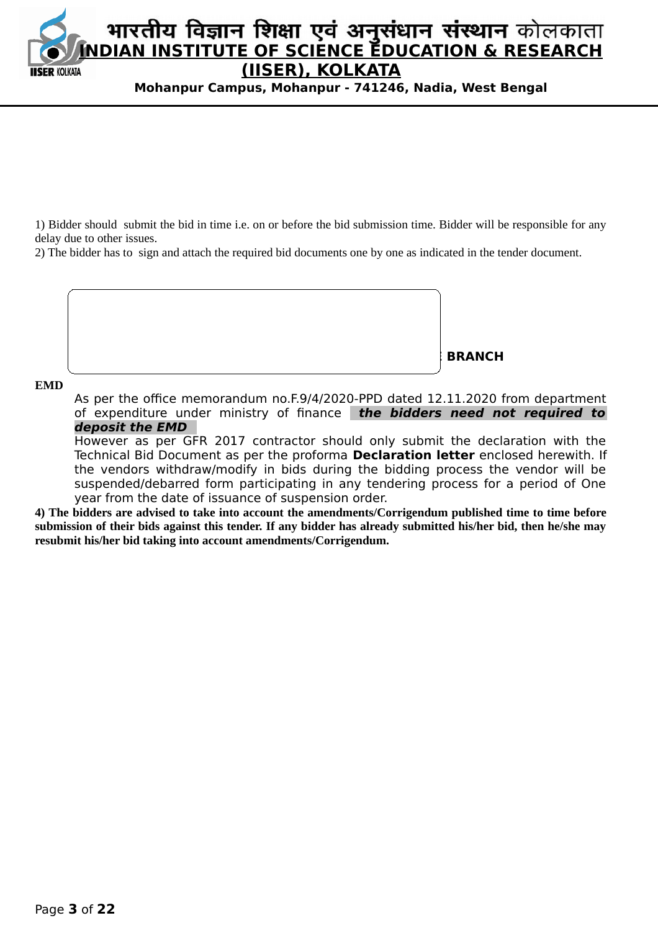

1) Bidder should submit the bid in time i.e. on or before the bid submission time. Bidder will be responsible for any delay due to other issues.

2) The bidder has to sign and attach the required bid documents one by one as indicated in the tender document.



#### **EMD**

As per the office memorandum no.F.9/4/2020-PPD dated 12.11.2020 from department of expenditure under ministry of finance **the bidders need not required to deposit the EMD** 

However as per GFR 2017 contractor should only submit the declaration with the Technical Bid Document as per the proforma **Declaration letter** enclosed herewith. If the vendors withdraw/modify in bids during the bidding process the vendor will be suspended/debarred form participating in any tendering process for a period of One year from the date of issuance of suspension order.

**4) The bidders are advised to take into account the amendments/Corrigendum published time to time before submission of their bids against this tender. If any bidder has already submitted his/her bid, then he/she may resubmit his/her bid taking into account amendments/Corrigendum.**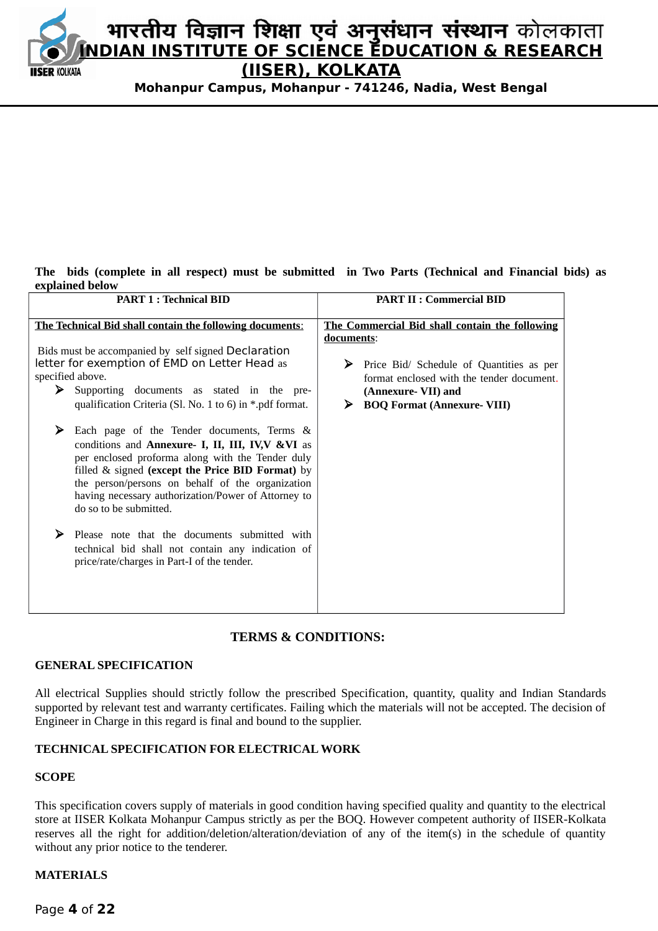

#### **The bids (complete in all respect) must be submitted in Two Parts (Technical and Financial bids) as explained below**

| <b>PART 1: Technical BID</b>                                                                                                                                                                                                                                                                                                                    | <b>PART II : Commercial BID</b>                                                                                                                                           |  |  |  |
|-------------------------------------------------------------------------------------------------------------------------------------------------------------------------------------------------------------------------------------------------------------------------------------------------------------------------------------------------|---------------------------------------------------------------------------------------------------------------------------------------------------------------------------|--|--|--|
| The Technical Bid shall contain the following documents:                                                                                                                                                                                                                                                                                        | The Commercial Bid shall contain the following                                                                                                                            |  |  |  |
| Bids must be accompanied by self signed Declaration<br>letter for exemption of EMD on Letter Head as<br>specified above.<br>> Supporting documents as stated in the pre-<br>qualification Criteria (Sl. No. 1 to 6) in *.pdf format.                                                                                                            | documents:<br>Price Bid/ Schedule of Quantities as per<br>➤<br>format enclosed with the tender document.<br>(Annexure-VII) and<br><b>BOQ Format (Annexure- VIII)</b><br>➤ |  |  |  |
| ≻<br>Each page of the Tender documents, Terms &<br>conditions and Annexure- I, II, III, IV, WVI as<br>per enclosed proforma along with the Tender duly<br>filled & signed (except the Price BID Format) by<br>the person/persons on behalf of the organization<br>having necessary authorization/Power of Attorney to<br>do so to be submitted. |                                                                                                                                                                           |  |  |  |
| ⋗<br>Please note that the documents submitted with<br>technical bid shall not contain any indication of<br>price/rate/charges in Part-I of the tender.                                                                                                                                                                                          |                                                                                                                                                                           |  |  |  |

#### **TERMS & CONDITIONS:**

#### **GENERAL SPECIFICATION**

All electrical Supplies should strictly follow the prescribed Specification, quantity, quality and Indian Standards supported by relevant test and warranty certificates. Failing which the materials will not be accepted. The decision of Engineer in Charge in this regard is final and bound to the supplier.

#### **TECHNICAL SPECIFICATION FOR ELECTRICAL WORK**

#### **SCOPE**

This specification covers supply of materials in good condition having specified quality and quantity to the electrical store at IISER Kolkata Mohanpur Campus strictly as per the BOQ. However competent authority of IISER-Kolkata reserves all the right for addition/deletion/alteration/deviation of any of the item(s) in the schedule of quantity without any prior notice to the tenderer.

#### **MATERIALS**

Page **4** of **22**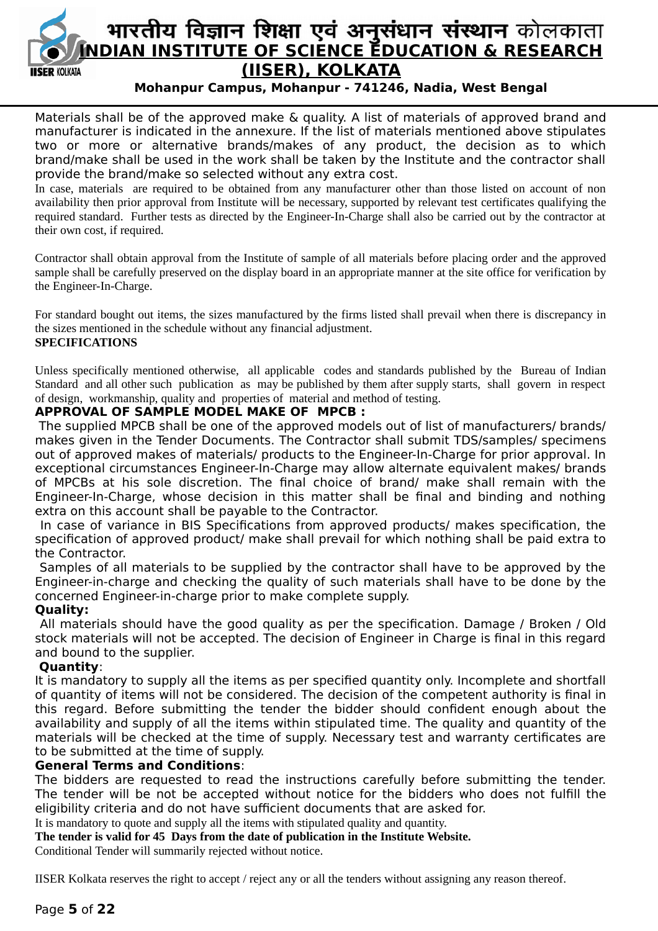

# भारतीय विज्ञान शिक्षा एवं अनुसंधान संस्थान कोलकाता **INDIAN INSTITUTE OF SCIENCE EDUCATION & RESEARCH (IISER), KOLKATA**

# **Mohanpur Campus, Mohanpur - 741246, Nadia, West Bengal**

Materials shall be of the approved make & quality. A list of materials of approved brand and manufacturer is indicated in the annexure. If the list of materials mentioned above stipulates two or more or alternative brands/makes of any product, the decision as to which brand/make shall be used in the work shall be taken by the Institute and the contractor shall provide the brand/make so selected without any extra cost.

In case, materials are required to be obtained from any manufacturer other than those listed on account of non availability then prior approval from Institute will be necessary, supported by relevant test certificates qualifying the required standard. Further tests as directed by the Engineer-In-Charge shall also be carried out by the contractor at their own cost, if required.

Contractor shall obtain approval from the Institute of sample of all materials before placing order and the approved sample shall be carefully preserved on the display board in an appropriate manner at the site office for verification by the Engineer-In-Charge.

For standard bought out items, the sizes manufactured by the firms listed shall prevail when there is discrepancy in the sizes mentioned in the schedule without any financial adjustment.

## **SPECIFICATIONS**

Unless specifically mentioned otherwise, all applicable codes and standards published by the Bureau of Indian Standard and all other such publication as may be published by them after supply starts, shall govern in respect of design, workmanship, quality and properties of material and method of testing.

## **APPROVAL OF SAMPLE MODEL MAKE OF MPCB :**

 The supplied MPCB shall be one of the approved models out of list of manufacturers/ brands/ makes given in the Tender Documents. The Contractor shall submit TDS/samples/ specimens out of approved makes of materials/ products to the Engineer-In-Charge for prior approval. In exceptional circumstances Engineer-In-Charge may allow alternate equivalent makes/ brands of MPCBs at his sole discretion. The final choice of brand/ make shall remain with the Engineer-In-Charge, whose decision in this matter shall be final and binding and nothing extra on this account shall be payable to the Contractor.

 In case of variance in BIS Specifications from approved products/ makes specification, the specification of approved product/ make shall prevail for which nothing shall be paid extra to the Contractor.

 Samples of all materials to be supplied by the contractor shall have to be approved by the Engineer-in-charge and checking the quality of such materials shall have to be done by the concerned Engineer-in-charge prior to make complete supply.

# **Quality:**

 All materials should have the good quality as per the specification. Damage / Broken / Old stock materials will not be accepted. The decision of Engineer in Charge is final in this regard and bound to the supplier.

#### **Quantity**:

It is mandatory to supply all the items as per specified quantity only. Incomplete and shortfall of quantity of items will not be considered. The decision of the competent authority is final in this regard. Before submitting the tender the bidder should confident enough about the availability and supply of all the items within stipulated time. The quality and quantity of the materials will be checked at the time of supply. Necessary test and warranty certificates are to be submitted at the time of supply.

# **General Terms and Conditions**:

The bidders are requested to read the instructions carefully before submitting the tender. The tender will be not be accepted without notice for the bidders who does not fulfill the eligibility criteria and do not have sufficient documents that are asked for.

It is mandatory to quote and supply all the items with stipulated quality and quantity.

**The tender is valid for 45 Days from the date of publication in the Institute Website.**

Conditional Tender will summarily rejected without notice.

IISER Kolkata reserves the right to accept / reject any or all the tenders without assigning any reason thereof.

# Page **5** of **22**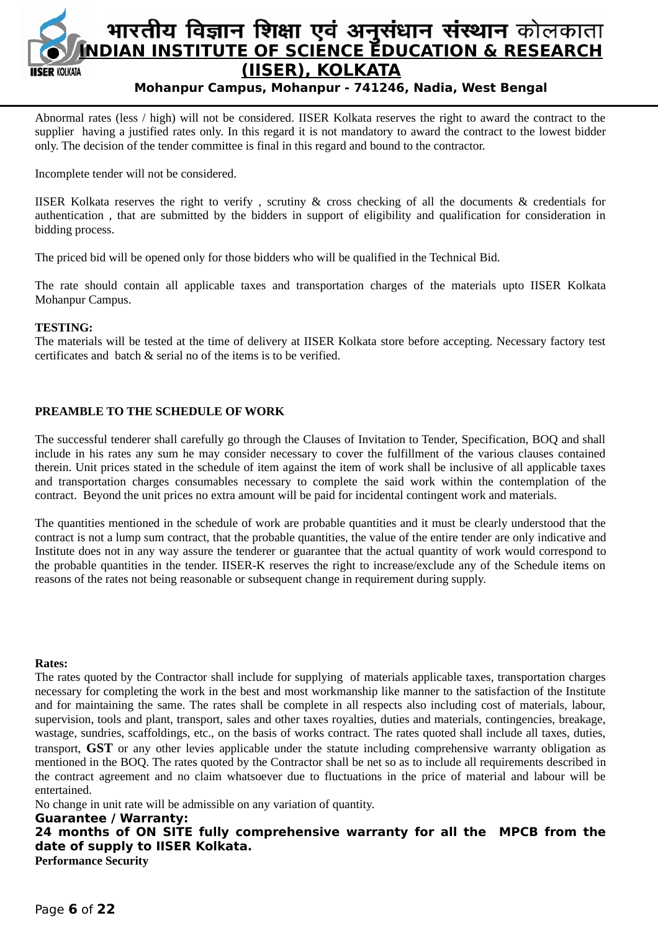

Abnormal rates (less / high) will not be considered. IISER Kolkata reserves the right to award the contract to the supplier having a justified rates only. In this regard it is not mandatory to award the contract to the lowest bidder only. The decision of the tender committee is final in this regard and bound to the contractor.

Incomplete tender will not be considered.

IISER Kolkata reserves the right to verify , scrutiny & cross checking of all the documents & credentials for authentication , that are submitted by the bidders in support of eligibility and qualification for consideration in bidding process.

The priced bid will be opened only for those bidders who will be qualified in the Technical Bid.

The rate should contain all applicable taxes and transportation charges of the materials upto IISER Kolkata Mohanpur Campus.

#### **TESTING:**

The materials will be tested at the time of delivery at IISER Kolkata store before accepting. Necessary factory test certificates and batch & serial no of the items is to be verified.

#### **PREAMBLE TO THE SCHEDULE OF WORK**

The successful tenderer shall carefully go through the Clauses of Invitation to Tender, Specification, BOQ and shall include in his rates any sum he may consider necessary to cover the fulfillment of the various clauses contained therein. Unit prices stated in the schedule of item against the item of work shall be inclusive of all applicable taxes and transportation charges consumables necessary to complete the said work within the contemplation of the contract. Beyond the unit prices no extra amount will be paid for incidental contingent work and materials.

The quantities mentioned in the schedule of work are probable quantities and it must be clearly understood that the contract is not a lump sum contract, that the probable quantities, the value of the entire tender are only indicative and Institute does not in any way assure the tenderer or guarantee that the actual quantity of work would correspond to the probable quantities in the tender. IISER-K reserves the right to increase/exclude any of the Schedule items on reasons of the rates not being reasonable or subsequent change in requirement during supply.

#### **Rates:**

The rates quoted by the Contractor shall include for supplying of materials applicable taxes, transportation charges necessary for completing the work in the best and most workmanship like manner to the satisfaction of the Institute and for maintaining the same. The rates shall be complete in all respects also including cost of materials, labour, supervision, tools and plant, transport, sales and other taxes royalties, duties and materials, contingencies, breakage, wastage, sundries, scaffoldings, etc., on the basis of works contract. The rates quoted shall include all taxes, duties, transport, **GST** or any other levies applicable under the statute including comprehensive warranty obligation as mentioned in the BOQ. The rates quoted by the Contractor shall be net so as to include all requirements described in the contract agreement and no claim whatsoever due to fluctuations in the price of material and labour will be entertained.

No change in unit rate will be admissible on any variation of quantity.

**Guarantee / Warranty: 24 months of ON SITE fully comprehensive warranty for all the MPCB from the date of supply to IISER Kolkata. Performance Security**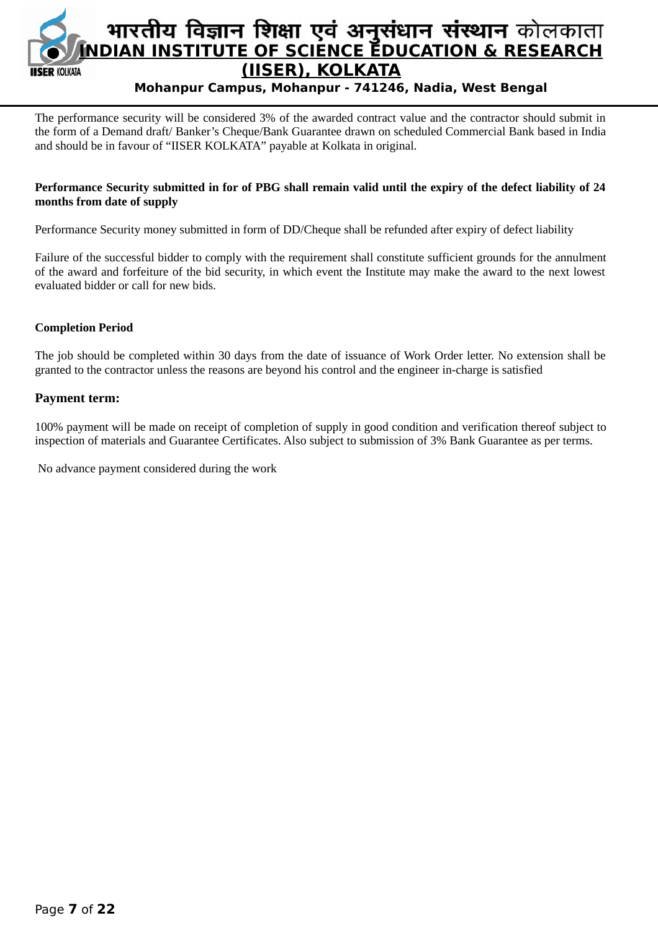

The performance security will be considered 3% of the awarded contract value and the contractor should submit in the form of a Demand draft/ Banker's Cheque/Bank Guarantee drawn on scheduled Commercial Bank based in India and should be in favour of "IISER KOLKATA" payable at Kolkata in original.

#### **Performance Security submitted in for of PBG shall remain valid until the expiry of the defect liability of 24 months from date of supply**

Performance Security money submitted in form of DD/Cheque shall be refunded after expiry of defect liability

Failure of the successful bidder to comply with the requirement shall constitute sufficient grounds for the annulment of the award and forfeiture of the bid security, in which event the Institute may make the award to the next lowest evaluated bidder or call for new bids*.*

#### **Completion Period**

The job should be completed within 30 days from the date of issuance of Work Order letter. No extension shall be granted to the contractor unless the reasons are beyond his control and the engineer in-charge is satisfied

#### **Payment term:**

100% payment will be made on receipt of completion of supply in good condition and verification thereof subject to inspection of materials and Guarantee Certificates. Also subject to submission of 3% Bank Guarantee as per terms.

No advance payment considered during the work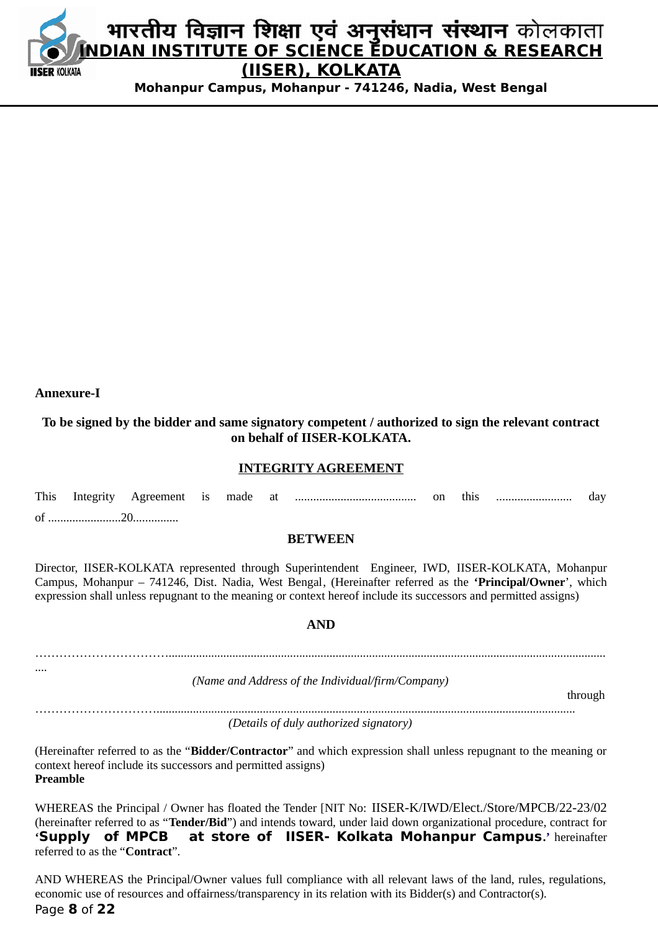

#### **Annexure-I**

# **To be signed by the bidder and same signatory competent / authorized to sign the relevant contract on behalf of IISER-KOLKATA.**

#### **INTEGRITY AGREEMENT**

| Ωf |  |  |  |  |  |
|----|--|--|--|--|--|

#### **BETWEEN**

Director, IISER-KOLKATA represented through Superintendent Engineer, IWD, IISER-KOLKATA, Mohanpur Campus, Mohanpur – 741246, Dist. Nadia, West Bengal, (Hereinafter referred as the **'Principal/Owner**', which expression shall unless repugnant to the meaning or context hereof include its successors and permitted assigns)

#### **AND**

……………………………................................................................................................................................................ .... *(Name and Address of the Individual/firm/Company)* through

………………………….......................................................................................................................................... *(Details of duly authorized signatory)*

(Hereinafter referred to as the "**Bidder/Contractor**" and which expression shall unless repugnant to the meaning or context hereof include its successors and permitted assigns) **Preamble**

WHEREAS the Principal / Owner has floated the Tender [NIT No: IISER-K/IWD/Elect./Store/MPCB/22-23/02 (hereinafter referred to as "**Tender/Bid**") and intends toward, under laid down organizational procedure, contract for **'Supply of MPCB at store of IISER- Kolkata Mohanpur Campus.'** hereinafter referred to as the "**Contract**".

AND WHEREAS the Principal/Owner values full compliance with all relevant laws of the land, rules, regulations, economic use of resources and offairness/transparency in its relation with its Bidder(s) and Contractor(s). Page **8** of **22**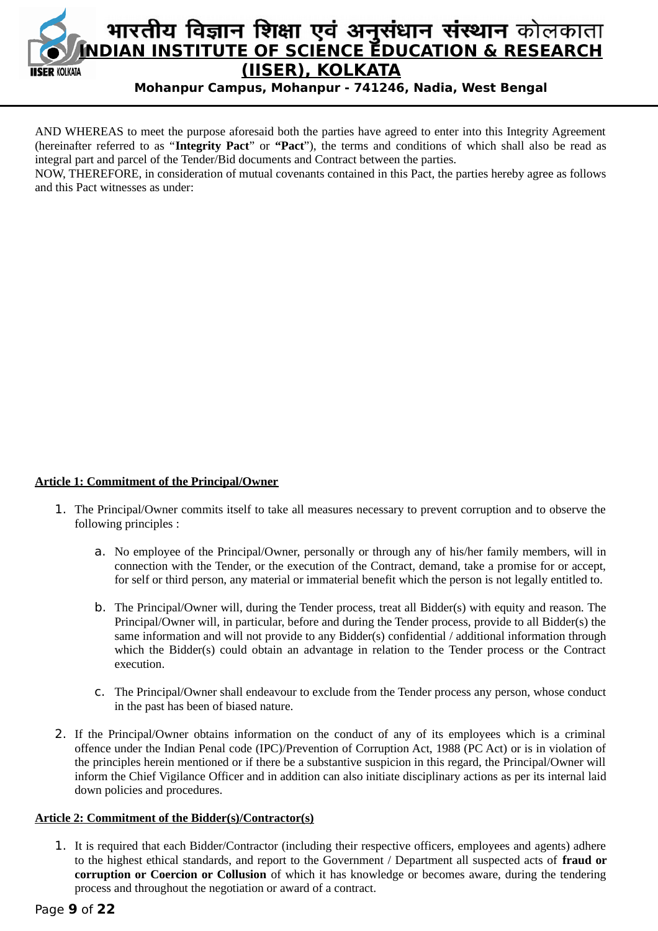

AND WHEREAS to meet the purpose aforesaid both the parties have agreed to enter into this Integrity Agreement (hereinafter referred to as "**Integrity Pact**" or **"Pact**"), the terms and conditions of which shall also be read as integral part and parcel of the Tender/Bid documents and Contract between the parties.

NOW, THEREFORE, in consideration of mutual covenants contained in this Pact, the parties hereby agree as follows and this Pact witnesses as under:

#### **Article 1: Commitment of the Principal/Owner**

- 1. The Principal/Owner commits itself to take all measures necessary to prevent corruption and to observe the following principles :
	- a. No employee of the Principal/Owner, personally or through any of his/her family members, will in connection with the Tender, or the execution of the Contract, demand, take a promise for or accept, for self or third person, any material or immaterial benefit which the person is not legally entitled to.
	- b. The Principal/Owner will, during the Tender process, treat all Bidder(s) with equity and reason. The Principal/Owner will, in particular, before and during the Tender process, provide to all Bidder(s) the same information and will not provide to any Bidder(s) confidential / additional information through which the Bidder(s) could obtain an advantage in relation to the Tender process or the Contract execution.
	- c. The Principal/Owner shall endeavour to exclude from the Tender process any person, whose conduct in the past has been of biased nature.
- 2. If the Principal/Owner obtains information on the conduct of any of its employees which is a criminal offence under the Indian Penal code (IPC)/Prevention of Corruption Act, 1988 (PC Act) or is in violation of the principles herein mentioned or if there be a substantive suspicion in this regard, the Principal/Owner will inform the Chief Vigilance Officer and in addition can also initiate disciplinary actions as per its internal laid down policies and procedures.

#### **Article 2: Commitment of the Bidder(s)/Contractor(s)**

1. It is required that each Bidder/Contractor (including their respective officers, employees and agents) adhere to the highest ethical standards, and report to the Government / Department all suspected acts of **fraud or corruption or Coercion or Collusion** of which it has knowledge or becomes aware, during the tendering process and throughout the negotiation or award of a contract.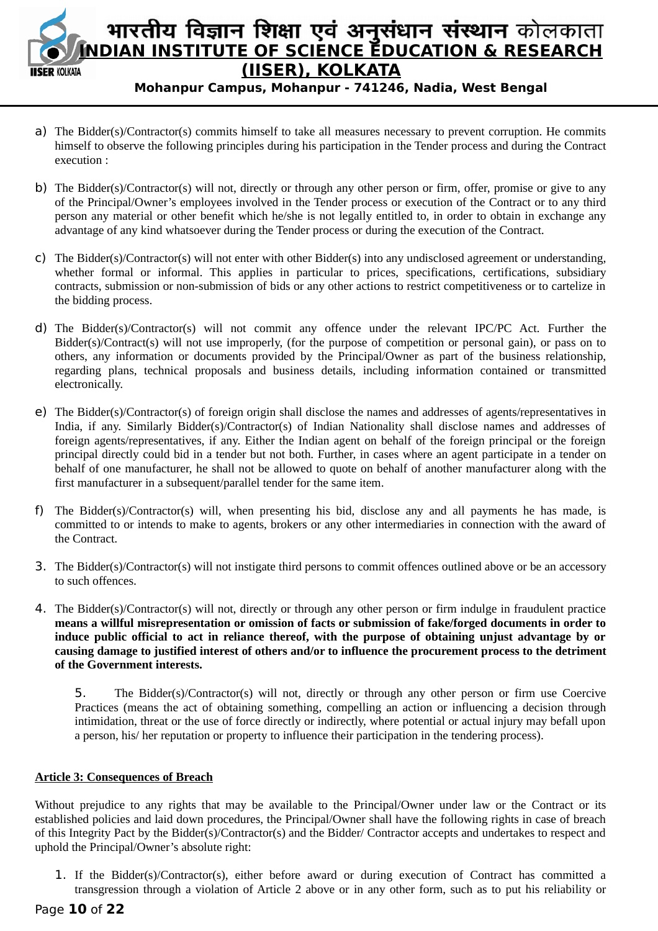

# भारतीय विज्ञान शिक्षा एवं अनुसंधान संस्थान कोलकाता **INDIAN INSTITUTE OF SCIENCE EDUCATION & RESEARCH (IISER), KOLKATA**

**Mohanpur Campus, Mohanpur - 741246, Nadia, West Bengal**

- a) The Bidder(s)/Contractor(s) commits himself to take all measures necessary to prevent corruption. He commits himself to observe the following principles during his participation in the Tender process and during the Contract execution :
- b) The Bidder(s)/Contractor(s) will not, directly or through any other person or firm, offer, promise or give to any of the Principal/Owner's employees involved in the Tender process or execution of the Contract or to any third person any material or other benefit which he/she is not legally entitled to, in order to obtain in exchange any advantage of any kind whatsoever during the Tender process or during the execution of the Contract.
- c) The Bidder(s)/Contractor(s) will not enter with other Bidder(s) into any undisclosed agreement or understanding, whether formal or informal. This applies in particular to prices, specifications, certifications, subsidiary contracts, submission or non-submission of bids or any other actions to restrict competitiveness or to cartelize in the bidding process.
- d) The Bidder(s)/Contractor(s) will not commit any offence under the relevant IPC/PC Act. Further the Bidder(s)/Contract(s) will not use improperly, (for the purpose of competition or personal gain), or pass on to others, any information or documents provided by the Principal/Owner as part of the business relationship, regarding plans, technical proposals and business details, including information contained or transmitted electronically.
- e) The Bidder(s)/Contractor(s) of foreign origin shall disclose the names and addresses of agents/representatives in India, if any. Similarly Bidder(s)/Contractor(s) of Indian Nationality shall disclose names and addresses of foreign agents/representatives, if any. Either the Indian agent on behalf of the foreign principal or the foreign principal directly could bid in a tender but not both. Further, in cases where an agent participate in a tender on behalf of one manufacturer, he shall not be allowed to quote on behalf of another manufacturer along with the first manufacturer in a subsequent/parallel tender for the same item.
- f) The Bidder(s)/Contractor(s) will, when presenting his bid, disclose any and all payments he has made, is committed to or intends to make to agents, brokers or any other intermediaries in connection with the award of the Contract.
- 3. The Bidder(s)/Contractor(s) will not instigate third persons to commit offences outlined above or be an accessory to such offences.
- 4. The Bidder(s)/Contractor(s) will not, directly or through any other person or firm indulge in fraudulent practice **means a willful misrepresentation or omission of facts or submission of fake/forged documents in order to induce public official to act in reliance thereof, with the purpose of obtaining unjust advantage by or causing damage to justified interest of others and/or to influence the procurement process to the detriment of the Government interests.**

5. The Bidder(s)/Contractor(s) will not, directly or through any other person or firm use Coercive Practices (means the act of obtaining something, compelling an action or influencing a decision through intimidation, threat or the use of force directly or indirectly, where potential or actual injury may befall upon a person, his/ her reputation or property to influence their participation in the tendering process).

#### **Article 3: Consequences of Breach**

Without prejudice to any rights that may be available to the Principal/Owner under law or the Contract or its established policies and laid down procedures, the Principal/Owner shall have the following rights in case of breach of this Integrity Pact by the Bidder(s)/Contractor(s) and the Bidder/ Contractor accepts and undertakes to respect and uphold the Principal/Owner's absolute right:

1. If the Bidder(s)/Contractor(s), either before award or during execution of Contract has committed a transgression through a violation of Article 2 above or in any other form, such as to put his reliability or

#### Page **10** of **22**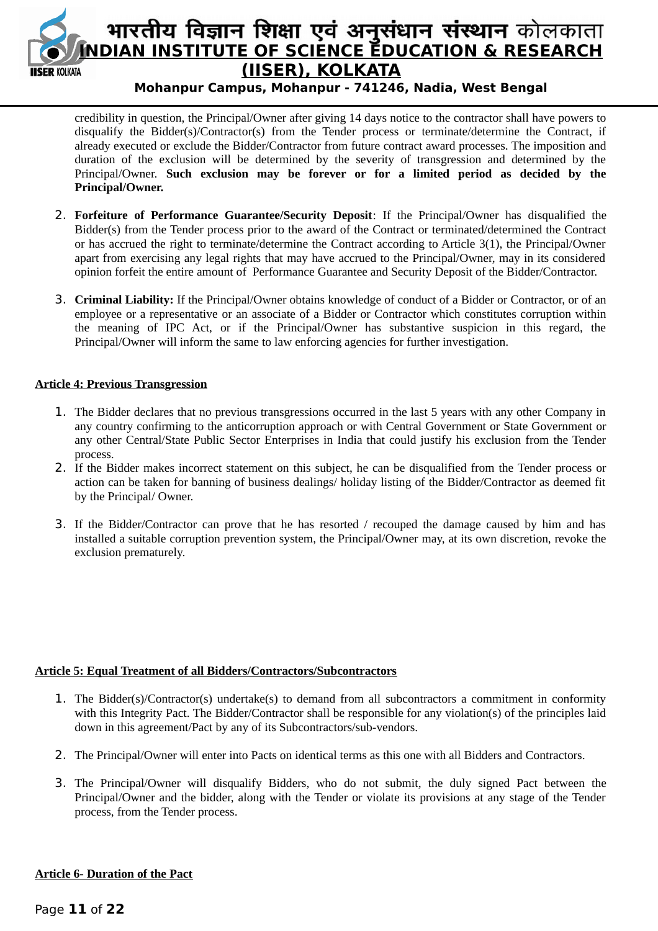

credibility in question, the Principal/Owner after giving 14 days notice to the contractor shall have powers to disqualify the Bidder(s)/Contractor(s) from the Tender process or terminate/determine the Contract, if already executed or exclude the Bidder/Contractor from future contract award processes. The imposition and duration of the exclusion will be determined by the severity of transgression and determined by the Principal/Owner. **Such exclusion may be forever or for a limited period as decided by the Principal/Owner.**

- 2. **Forfeiture of Performance Guarantee/Security Deposit**: If the Principal/Owner has disqualified the Bidder(s) from the Tender process prior to the award of the Contract or terminated/determined the Contract or has accrued the right to terminate/determine the Contract according to Article 3(1), the Principal/Owner apart from exercising any legal rights that may have accrued to the Principal/Owner, may in its considered opinion forfeit the entire amount of Performance Guarantee and Security Deposit of the Bidder/Contractor.
- 3. **Criminal Liability:** If the Principal/Owner obtains knowledge of conduct of a Bidder or Contractor, or of an employee or a representative or an associate of a Bidder or Contractor which constitutes corruption within the meaning of IPC Act, or if the Principal/Owner has substantive suspicion in this regard, the Principal/Owner will inform the same to law enforcing agencies for further investigation.

#### **Article 4: Previous Transgression**

- 1. The Bidder declares that no previous transgressions occurred in the last 5 years with any other Company in any country confirming to the anticorruption approach or with Central Government or State Government or any other Central/State Public Sector Enterprises in India that could justify his exclusion from the Tender process.
- 2. If the Bidder makes incorrect statement on this subject, he can be disqualified from the Tender process or action can be taken for banning of business dealings/ holiday listing of the Bidder/Contractor as deemed fit by the Principal/ Owner.
- 3. If the Bidder/Contractor can prove that he has resorted / recouped the damage caused by him and has installed a suitable corruption prevention system, the Principal/Owner may, at its own discretion, revoke the exclusion prematurely.

#### **Article 5: Equal Treatment of all Bidders/Contractors/Subcontractors**

- 1. The Bidder(s)/Contractor(s) undertake(s) to demand from all subcontractors a commitment in conformity with this Integrity Pact. The Bidder/Contractor shall be responsible for any violation(s) of the principles laid down in this agreement/Pact by any of its Subcontractors/sub-vendors.
- 2. The Principal/Owner will enter into Pacts on identical terms as this one with all Bidders and Contractors.
- 3. The Principal/Owner will disqualify Bidders, who do not submit, the duly signed Pact between the Principal/Owner and the bidder, along with the Tender or violate its provisions at any stage of the Tender process, from the Tender process.

#### **Article 6- Duration of the Pact**

#### Page **11** of **22**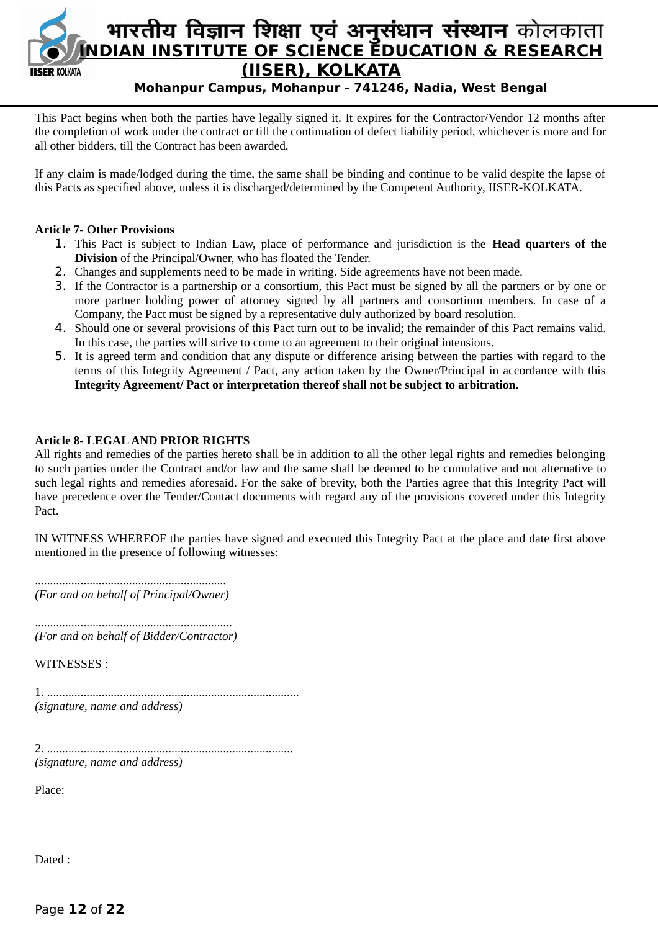

This Pact begins when both the parties have legally signed it. It expires for the Contractor/Vendor 12 months after the completion of work under the contract or till the continuation of defect liability period, whichever is more and for all other bidders, till the Contract has been awarded.

If any claim is made/lodged during the time, the same shall be binding and continue to be valid despite the lapse of this Pacts as specified above, unless it is discharged/determined by the Competent Authority, IISER-KOLKATA.

#### **Article 7- Other Provisions**

- 1. This Pact is subject to Indian Law, place of performance and jurisdiction is the **Head quarters of the Division** of the Principal/Owner, who has floated the Tender.
- 2. Changes and supplements need to be made in writing. Side agreements have not been made.
- 3. If the Contractor is a partnership or a consortium, this Pact must be signed by all the partners or by one or more partner holding power of attorney signed by all partners and consortium members. In case of a Company, the Pact must be signed by a representative duly authorized by board resolution.
- 4. Should one or several provisions of this Pact turn out to be invalid; the remainder of this Pact remains valid. In this case, the parties will strive to come to an agreement to their original intensions.
- 5. It is agreed term and condition that any dispute or difference arising between the parties with regard to the terms of this Integrity Agreement / Pact, any action taken by the Owner/Principal in accordance with this **Integrity Agreement/ Pact or interpretation thereof shall not be subject to arbitration.**

#### **Article 8- LEGAL AND PRIOR RIGHTS**

All rights and remedies of the parties hereto shall be in addition to all the other legal rights and remedies belonging to such parties under the Contract and/or law and the same shall be deemed to be cumulative and not alternative to such legal rights and remedies aforesaid. For the sake of brevity, both the Parties agree that this Integrity Pact will have precedence over the Tender/Contact documents with regard any of the provisions covered under this Integrity Pact.

IN WITNESS WHEREOF the parties have signed and executed this Integrity Pact at the place and date first above mentioned in the presence of following witnesses:

............................................................... *(For and on behalf of Principal/Owner)*

................................................................. *(For and on behalf of Bidder/Contractor)*

WITNESSES :

1. ................................................................................... *(signature, name and address)*

2. ................................................................................. *(signature, name and address)*

Place:

Dated :

Page **12** of **22**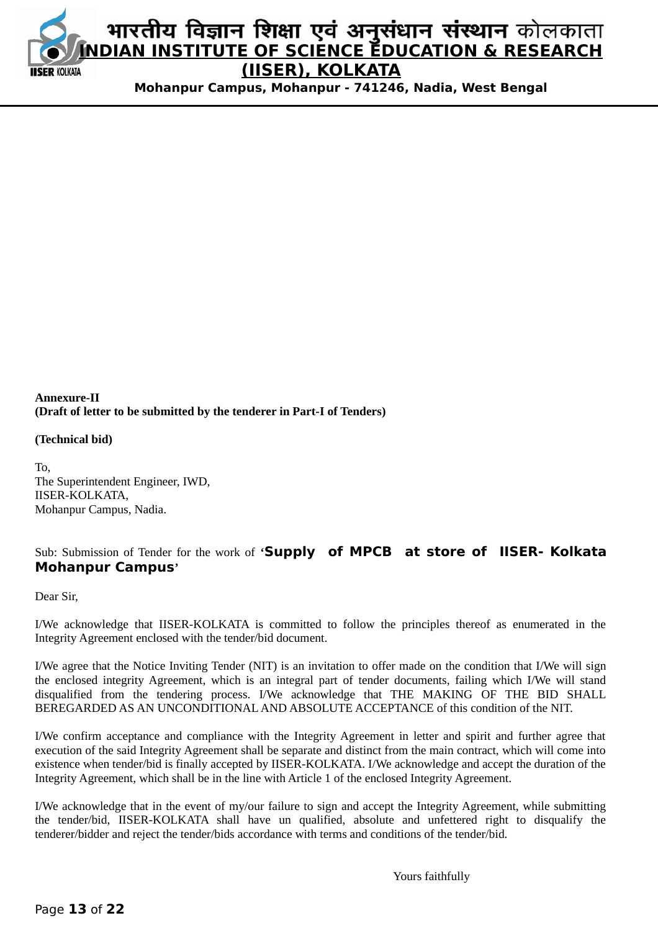

#### **Annexure-II (Draft of letter to be submitted by the tenderer in Part-I of Tenders)**

#### **(Technical bid)**

To, The Superintendent Engineer, IWD, IISER-KOLKATA, Mohanpur Campus, Nadia.

# Sub: Submission of Tender for the work of **'Supply of MPCB at store of IISER- Kolkata Mohanpur Campus'**

Dear Sir,

I/We acknowledge that IISER-KOLKATA is committed to follow the principles thereof as enumerated in the Integrity Agreement enclosed with the tender/bid document.

I/We agree that the Notice Inviting Tender (NIT) is an invitation to offer made on the condition that I/We will sign the enclosed integrity Agreement, which is an integral part of tender documents, failing which I/We will stand disqualified from the tendering process. I/We acknowledge that THE MAKING OF THE BID SHALL BEREGARDED AS AN UNCONDITIONAL AND ABSOLUTE ACCEPTANCE of this condition of the NIT.

I/We confirm acceptance and compliance with the Integrity Agreement in letter and spirit and further agree that execution of the said Integrity Agreement shall be separate and distinct from the main contract, which will come into existence when tender/bid is finally accepted by IISER-KOLKATA. I/We acknowledge and accept the duration of the Integrity Agreement, which shall be in the line with Article 1 of the enclosed Integrity Agreement.

I/We acknowledge that in the event of my/our failure to sign and accept the Integrity Agreement, while submitting the tender/bid, IISER-KOLKATA shall have un qualified, absolute and unfettered right to disqualify the tenderer/bidder and reject the tender/bids accordance with terms and conditions of the tender/bid.

Yours faithfully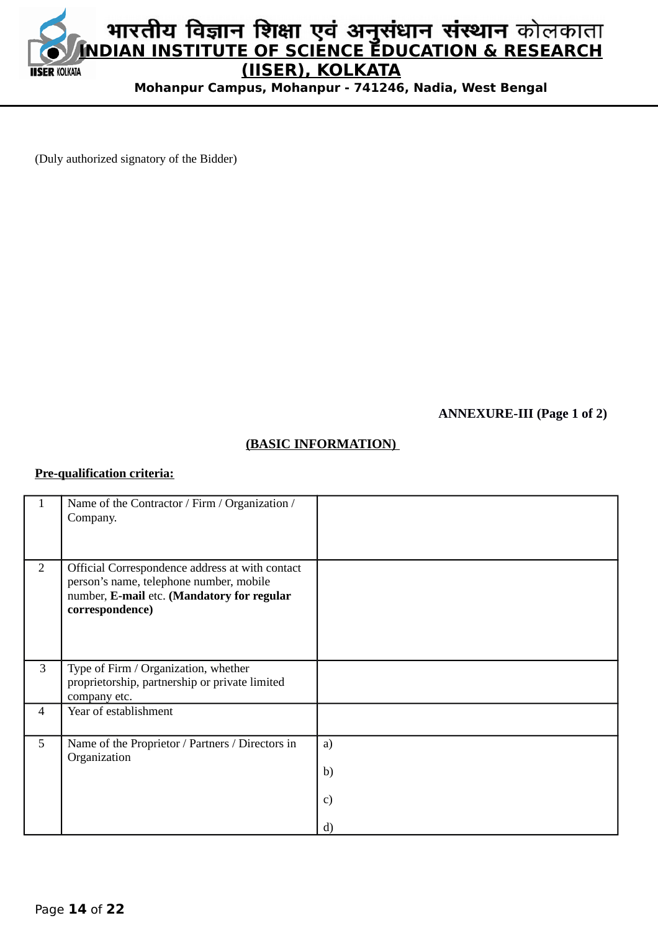

(Duly authorized signatory of the Bidder)

**ANNEXURE-III (Page 1 of 2)**

# **(BASIC INFORMATION)**

## **Pre-qualification criteria:**

| 1              | Name of the Contractor / Firm / Organization /<br>Company.                                                                                                  |                      |
|----------------|-------------------------------------------------------------------------------------------------------------------------------------------------------------|----------------------|
| $\overline{2}$ | Official Correspondence address at with contact<br>person's name, telephone number, mobile<br>number, E-mail etc. (Mandatory for regular<br>correspondence) |                      |
| 3              | Type of Firm / Organization, whether<br>proprietorship, partnership or private limited<br>company etc.                                                      |                      |
| $\overline{4}$ | Year of establishment                                                                                                                                       |                      |
| 5              | Name of the Proprietor / Partners / Directors in<br>Organization                                                                                            | a)<br>b)<br>c)<br>d) |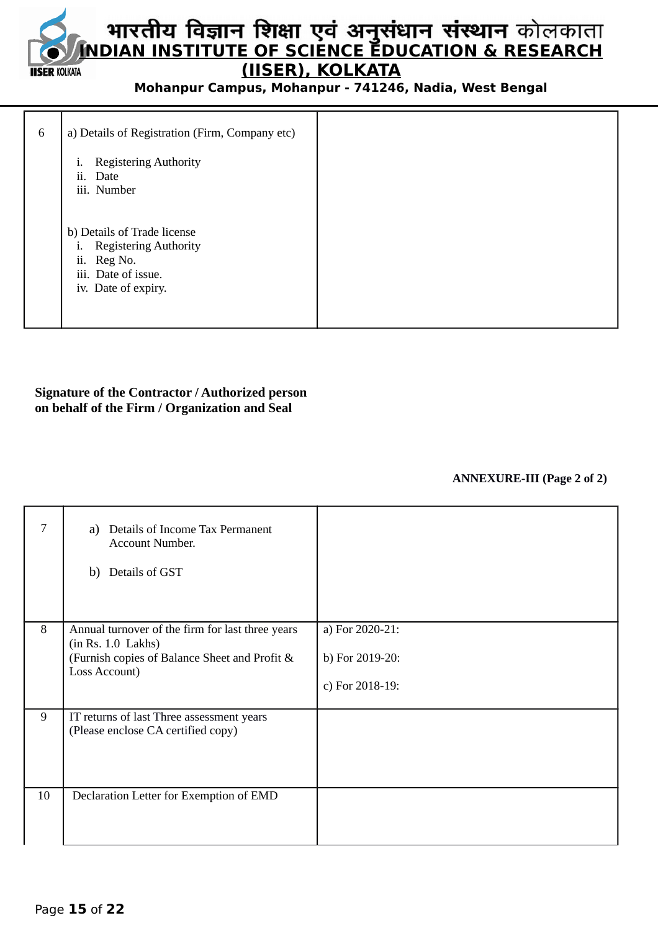# **INDIAN INSTITUTE OF SCIENCE EDUCATION & RESEARCH (IISER), KOLKATA IISER KOLKATA**

**Mohanpur Campus, Mohanpur - 741246, Nadia, West Bengal**

| 6 | a) Details of Registration (Firm, Company etc)                                                                                                |  |
|---|-----------------------------------------------------------------------------------------------------------------------------------------------|--|
|   | <b>Registering Authority</b><br>i.<br>ii.<br>Date<br>iii. Number                                                                              |  |
|   | b) Details of Trade license<br><b>Registering Authority</b><br>$\mathbf{1}$ .<br>ii.<br>Reg No.<br>iii. Date of issue.<br>iv. Date of expiry. |  |

#### **Signature of the Contractor / Authorized person on behalf of the Firm / Organization and Seal**

#### **ANNEXURE-III (Page 2 of 2)**

| 7  | a) Details of Income Tax Permanent<br>Account Number.<br>b) Details of GST                                                               |                                                       |
|----|------------------------------------------------------------------------------------------------------------------------------------------|-------------------------------------------------------|
| 8  | Annual turnover of the firm for last three years<br>(in Rs. 1.0 Lakhs)<br>(Furnish copies of Balance Sheet and Profit &<br>Loss Account) | a) For 2020-21:<br>b) For 2019-20:<br>c) For 2018-19: |
| 9  | IT returns of last Three assessment years<br>(Please enclose CA certified copy)                                                          |                                                       |
| 10 | Declaration Letter for Exemption of EMD                                                                                                  |                                                       |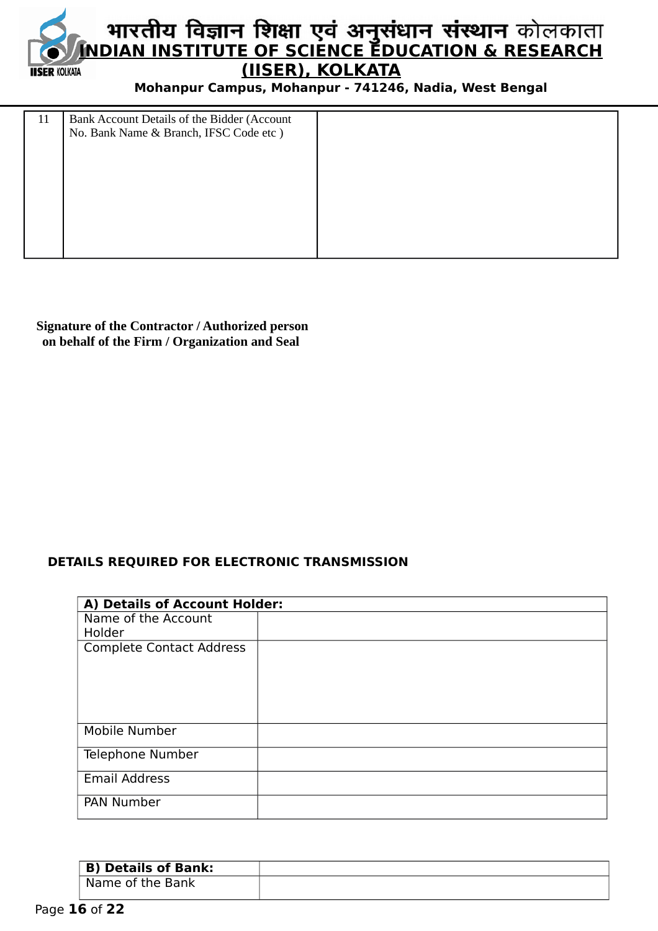

| 11 | Bank Account Details of the Bidder (Account<br>No. Bank Name & Branch, IFSC Code etc) |  |
|----|---------------------------------------------------------------------------------------|--|
|    |                                                                                       |  |

 **Signature of the Contractor / Authorized person on behalf of the Firm / Organization and Seal**

# **DETAILS REQUIRED FOR ELECTRONIC TRANSMISSION**

| A) Details of Account Holder:   |  |  |  |  |  |
|---------------------------------|--|--|--|--|--|
| Name of the Account             |  |  |  |  |  |
| Holder                          |  |  |  |  |  |
| <b>Complete Contact Address</b> |  |  |  |  |  |
|                                 |  |  |  |  |  |
|                                 |  |  |  |  |  |
|                                 |  |  |  |  |  |
| Mobile Number                   |  |  |  |  |  |
|                                 |  |  |  |  |  |
| Telephone Number                |  |  |  |  |  |
| <b>Email Address</b>            |  |  |  |  |  |
|                                 |  |  |  |  |  |
| <b>PAN Number</b>               |  |  |  |  |  |

| <b>B</b> ) Details of Bank: |  |
|-----------------------------|--|
| Name of the Bank            |  |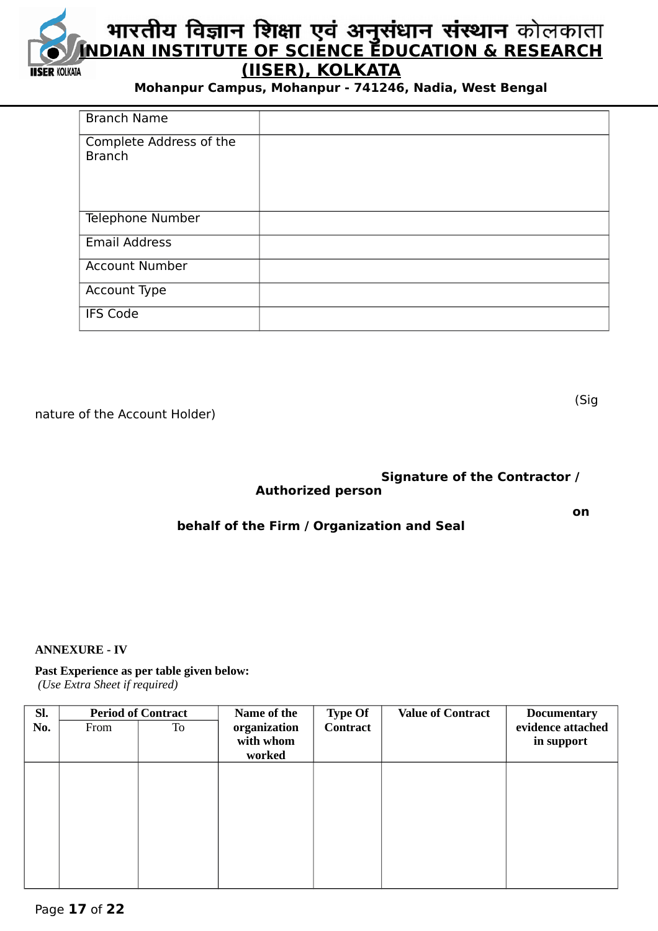

| <b>Branch Name</b>                       |  |
|------------------------------------------|--|
| Complete Address of the<br><b>Branch</b> |  |
| Telephone Number                         |  |
| <b>Email Address</b>                     |  |
| <b>Account Number</b>                    |  |
| Account Type                             |  |
| <b>IFS Code</b>                          |  |

nature of the Account Holder)

(Sig

# **Signature of the Contractor / Authorized person**

**on** one of the contract of the contract of the contract of the contract of the contract of the contract of the contract of the contract of the contract of the contract of the contract of the contract of the contract of th

# **behalf of the Firm / Organization and Seal**

#### **ANNEXURE - IV**

#### **Past Experience as per table given below:**

 *(Use Extra Sheet if required)*

| SI. | <b>Period of Contract</b> |    | Name of the  | <b>Type Of</b>  | <b>Value of Contract</b> | <b>Documentary</b> |
|-----|---------------------------|----|--------------|-----------------|--------------------------|--------------------|
| No. | From                      | To | organization | <b>Contract</b> |                          | evidence attached  |
|     |                           |    | with whom    |                 |                          | in support         |
|     |                           |    | worked       |                 |                          |                    |
|     |                           |    |              |                 |                          |                    |
|     |                           |    |              |                 |                          |                    |
|     |                           |    |              |                 |                          |                    |
|     |                           |    |              |                 |                          |                    |
|     |                           |    |              |                 |                          |                    |
|     |                           |    |              |                 |                          |                    |
|     |                           |    |              |                 |                          |                    |
|     |                           |    |              |                 |                          |                    |
|     |                           |    |              |                 |                          |                    |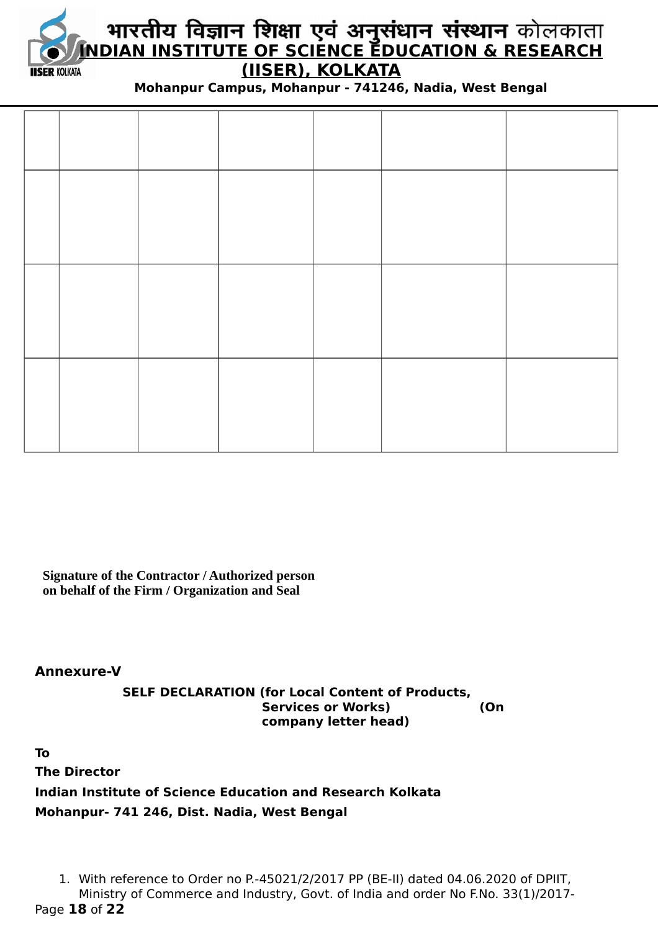

# **INDIAN INSTITUTE OF SCIENCE EDUCATION & RESEARCH (IISER), KOLKATA**

**Mohanpur Campus, Mohanpur - 741246, Nadia, West Bengal**

**Signature of the Contractor / Authorized person on behalf of the Firm / Organization and Seal**

**Annexure-V**

**SELF DECLARATION (for Local Content of Products, Services or Works) (On company letter head)**

**To The Director Indian Institute of Science Education and Research Kolkata Mohanpur- 741 246, Dist. Nadia, West Bengal**

1. With reference to Order no P.-45021/2/2017 PP (BE-II) dated 04.06.2020 of DPIIT, Ministry of Commerce and Industry, Govt. of India and order No F.No. 33(1)/2017- Page **18** of **22**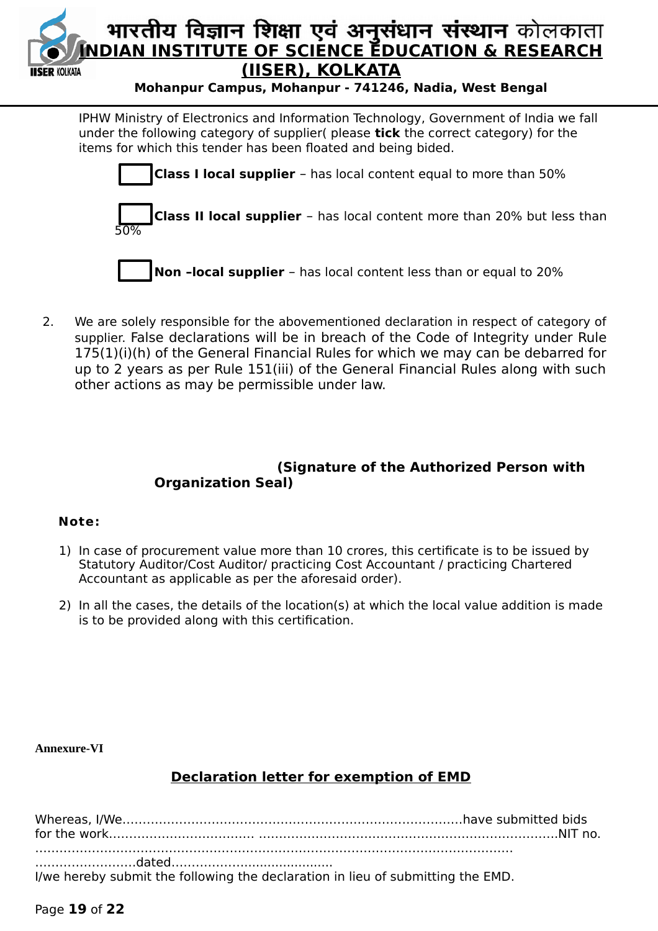

IPHW Ministry of Electronics and Information Technology, Government of India we fall under the following category of supplier( please **tick** the correct category) for the items for which this tender has been floated and being bided.



 2. We are solely responsible for the abovementioned declaration in respect of category of supplier. False declarations will be in breach of the Code of Integrity under Rule 175(1)(i)(h) of the General Financial Rules for which we may can be debarred for up to 2 years as per Rule 151(iii) of the General Financial Rules along with such other actions as may be permissible under law.

# **(Signature of the Authorized Person with Organization Seal)**

# **Note:**

- 1) In case of procurement value more than 10 crores, this certificate is to be issued by Statutory Auditor/Cost Auditor/ practicing Cost Accountant / practicing Chartered Accountant as applicable as per the aforesaid order).
- 2) In all the cases, the details of the location(s) at which the local value addition is made is to be provided along with this certification.

# **Annexure-VI**

# **Declaration letter for exemption of EMD**

| I/we hereby submit the following the declaration in lieu of submitting the EMD. |  |
|---------------------------------------------------------------------------------|--|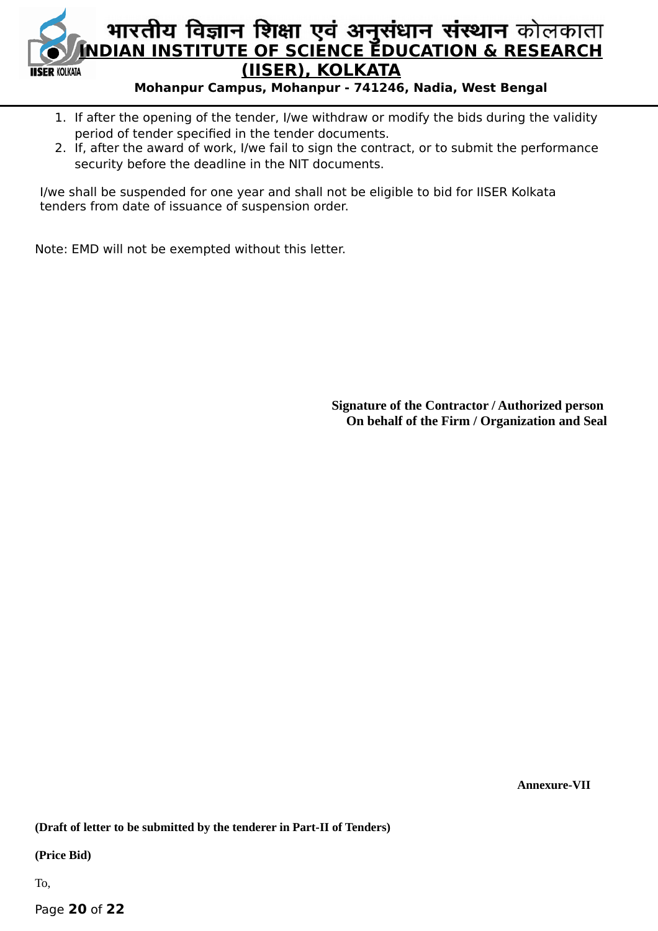

- 1. If after the opening of the tender, I/we withdraw or modify the bids during the validity period of tender specified in the tender documents.
- 2. If, after the award of work, I/we fail to sign the contract, or to submit the performance security before the deadline in the NIT documents.

I/we shall be suspended for one year and shall not be eligible to bid for IISER Kolkata tenders from date of issuance of suspension order.

Note: EMD will not be exempted without this letter.

**Signature of the Contractor / Authorized person On behalf of the Firm / Organization and Seal**

 **Annexure-VII**

**(Draft of letter to be submitted by the tenderer in Part-II of Tenders)**

**(Price Bid)**

To,

Page **20** of **22**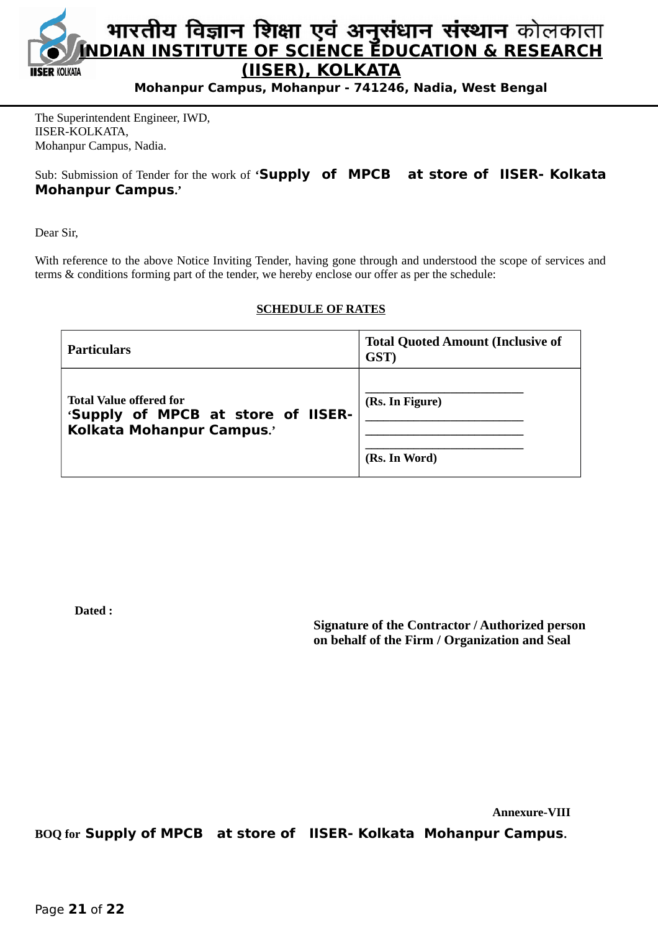

The Superintendent Engineer, IWD, IISER-KOLKATA, Mohanpur Campus, Nadia.

Sub: Submission of Tender for the work of **'Supply of MPCB at store of IISER- Kolkata Mohanpur Campus.'**

Dear Sir,

With reference to the above Notice Inviting Tender, having gone through and understood the scope of services and terms & conditions forming part of the tender, we hereby enclose our offer as per the schedule:

#### **SCHEDULE OF RATES**

| Particulars                                                                                       | <b>Total Quoted Amount (Inclusive of</b><br>GST) |
|---------------------------------------------------------------------------------------------------|--------------------------------------------------|
| <b>Total Value offered for</b><br>'Supply of MPCB at store of IISER-<br>Kolkata Mohanpur Campus.' | (Rs. In Figure)<br>(Rs. In Word)                 |

**Dated :** 

**Signature of the Contractor / Authorized person on behalf of the Firm / Organization and Seal**

 **Annexure-VIII**

**BOQ for Supply of MPCB at store of IISER- Kolkata Mohanpur Campus.**